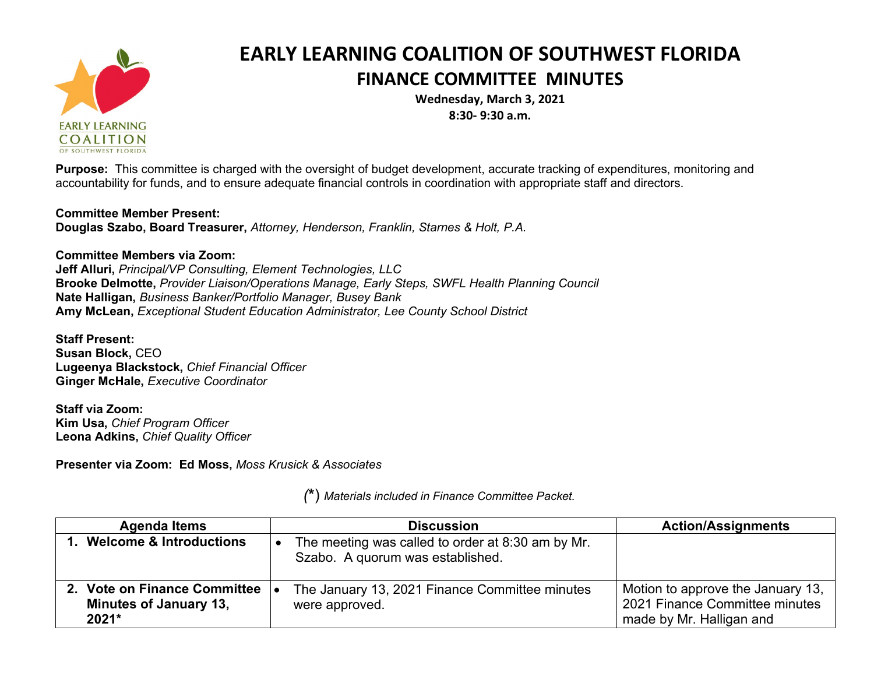

## **EARLY LEARNING COALITION OF SOUTHWEST FLORIDA FINANCE COMMITTEE MINUTES**

**Wednesday, March 3, 2021 8:30- 9:30 a.m.**

**Purpose:** This committee is charged with the oversight of budget development, accurate tracking of expenditures, monitoring and accountability for funds, and to ensure adequate financial controls in coordination with appropriate staff and directors.

## **Committee Member Present:**

**Douglas Szabo, Board Treasurer,** *Attorney, Henderson, Franklin, Starnes & Holt, P.A.*

## **Committee Members via Zoom:**

**Jeff Alluri,** *Principal/VP Consulting, Element Technologies, LLC* **Brooke Delmotte,** *Provider Liaison/Operations Manage, Early Steps, SWFL Health Planning Council* **Nate Halligan,** *Business Banker/Portfolio Manager, Busey Bank* **Amy McLean,** *Exceptional Student Education Administrator, Lee County School District*

**Staff Present: Susan Block,** CEO **Lugeenya Blackstock,** *Chief Financial Officer* **Ginger McHale,** *Executive Coordinator*

**Staff via Zoom: Kim Usa,** *Chief Program Officer* **Leona Adkins,** *Chief Quality Officer*

**Presenter via Zoom: Ed Moss,** *Moss Krusick & Associates*

| <b>Agenda Items</b>                                                    | <b>Discussion</b>                                                                     | <b>Action/Assignments</b>                                                                       |
|------------------------------------------------------------------------|---------------------------------------------------------------------------------------|-------------------------------------------------------------------------------------------------|
| 1. Welcome & Introductions                                             | The meeting was called to order at 8:30 am by Mr.<br>Szabo. A quorum was established. |                                                                                                 |
| 2. Vote on Finance Committee<br><b>Minutes of January 13,</b><br>2021* | The January 13, 2021 Finance Committee minutes<br>were approved.                      | Motion to approve the January 13,<br>2021 Finance Committee minutes<br>made by Mr. Halligan and |

*(***\***) *Materials included in Finance Committee Packet.*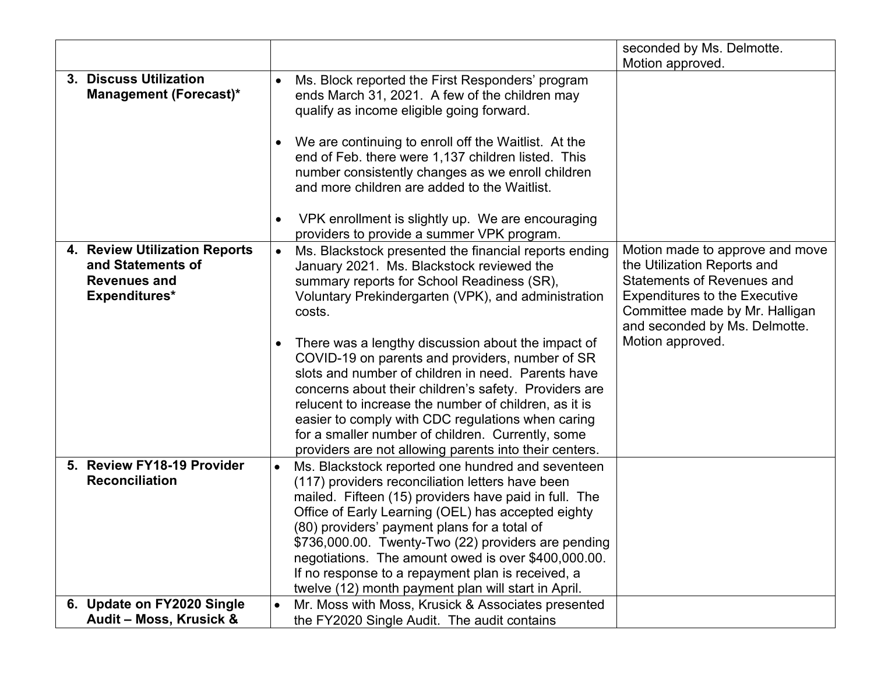|                                                                                            |           |                                                                                                                                                                                                                                                                                                                                                                                                                                                                                                | seconded by Ms. Delmotte.                                                                                                                                                                                      |
|--------------------------------------------------------------------------------------------|-----------|------------------------------------------------------------------------------------------------------------------------------------------------------------------------------------------------------------------------------------------------------------------------------------------------------------------------------------------------------------------------------------------------------------------------------------------------------------------------------------------------|----------------------------------------------------------------------------------------------------------------------------------------------------------------------------------------------------------------|
|                                                                                            |           |                                                                                                                                                                                                                                                                                                                                                                                                                                                                                                | Motion approved.                                                                                                                                                                                               |
| 3. Discuss Utilization<br><b>Management (Forecast)*</b>                                    |           | Ms. Block reported the First Responders' program<br>ends March 31, 2021. A few of the children may<br>qualify as income eligible going forward.                                                                                                                                                                                                                                                                                                                                                |                                                                                                                                                                                                                |
|                                                                                            |           | We are continuing to enroll off the Waitlist. At the<br>end of Feb. there were 1,137 children listed. This<br>number consistently changes as we enroll children<br>and more children are added to the Waitlist.<br>VPK enrollment is slightly up. We are encouraging                                                                                                                                                                                                                           |                                                                                                                                                                                                                |
|                                                                                            |           | providers to provide a summer VPK program.                                                                                                                                                                                                                                                                                                                                                                                                                                                     |                                                                                                                                                                                                                |
| 4. Review Utilization Reports<br>and Statements of<br><b>Revenues and</b><br>Expenditures* | $\bullet$ | Ms. Blackstock presented the financial reports ending<br>January 2021. Ms. Blackstock reviewed the<br>summary reports for School Readiness (SR),<br>Voluntary Prekindergarten (VPK), and administration<br>costs.                                                                                                                                                                                                                                                                              | Motion made to approve and move<br>the Utilization Reports and<br><b>Statements of Revenues and</b><br><b>Expenditures to the Executive</b><br>Committee made by Mr. Halligan<br>and seconded by Ms. Delmotte. |
|                                                                                            | $\bullet$ | There was a lengthy discussion about the impact of<br>COVID-19 on parents and providers, number of SR<br>slots and number of children in need. Parents have<br>concerns about their children's safety. Providers are<br>relucent to increase the number of children, as it is<br>easier to comply with CDC regulations when caring<br>for a smaller number of children. Currently, some<br>providers are not allowing parents into their centers.                                              | Motion approved.                                                                                                                                                                                               |
| 5. Review FY18-19 Provider<br><b>Reconciliation</b>                                        | $\bullet$ | Ms. Blackstock reported one hundred and seventeen<br>(117) providers reconciliation letters have been<br>mailed. Fifteen (15) providers have paid in full. The<br>Office of Early Learning (OEL) has accepted eighty<br>(80) providers' payment plans for a total of<br>\$736,000.00. Twenty-Two (22) providers are pending<br>negotiations. The amount owed is over \$400,000.00.<br>If no response to a repayment plan is received, a<br>twelve (12) month payment plan will start in April. |                                                                                                                                                                                                                |
| 6. Update on FY2020 Single                                                                 | $\bullet$ | Mr. Moss with Moss, Krusick & Associates presented                                                                                                                                                                                                                                                                                                                                                                                                                                             |                                                                                                                                                                                                                |
| Audit – Moss, Krusick &                                                                    |           | the FY2020 Single Audit. The audit contains                                                                                                                                                                                                                                                                                                                                                                                                                                                    |                                                                                                                                                                                                                |